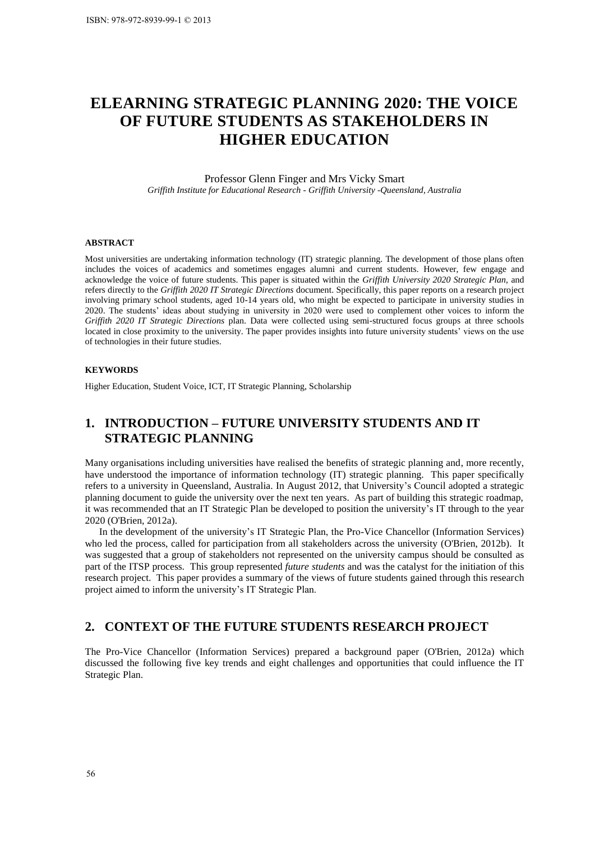# **ELEARNING STRATEGIC PLANNING 2020: THE VOICE OF FUTURE STUDENTS AS STAKEHOLDERS IN HIGHER EDUCATION**

Professor Glenn Finger and Mrs Vicky Smart *Griffith Institute for Educational Research - Griffith University -Queensland, Australia* 

#### **ABSTRACT**

Most universities are undertaking information technology (IT) strategic planning. The development of those plans often includes the voices of academics and sometimes engages alumni and current students. However, few engage and acknowledge the voice of future students. This paper is situated within the *Griffith University 2020 Strategic Plan,* and refers directly to the *Griffith 2020 IT Strategic Directions* document. Specifically, this paper reports on a research project involving primary school students, aged 10-14 years old, who might be expected to participate in university studies in 2020. The students' ideas about studying in university in 2020 were used to complement other voices to inform the *Griffith 2020 IT Strategic Directions* plan. Data were collected using semi-structured focus groups at three schools located in close proximity to the university. The paper provides insights into future university students' views on the use of technologies in their future studies. **ISBN: 978-972-8939-99-1 © 2013**<br> **ISBN: 978-972-8939-99-1 © 2013**<br> **ISBN: OF FUTURE**<br> **IDENTACT**<br> **ISBNEACT**<br> **ISBNEACT**<br> **ISBNEACT**<br> **ISBNEACT**<br> **ISBNEACT**<br> **ISBNEACT**<br> **ISBNEACT**<br> **ISBNEACT**<br> **ISBNEACT**<br> **ISBNEACT**<br> **I** 

#### **KEYWORDS**

Higher Education, Student Voice, ICT, IT Strategic Planning, Scholarship

# **1. INTRODUCTION – FUTURE UNIVERSITY STUDENTS AND IT STRATEGIC PLANNING**

Many organisations including universities have realised the benefits of strategic planning and, more recently, have understood the importance of information technology (IT) strategic planning. This paper specifically refers to a university in Queensland, Australia. In August 2012, that University's Council adopted a strategic planning document to guide the university over the next ten years. As part of building this strategic roadmap, it was recommended that an IT Strategic Plan be developed to position the university's IT through to the year 2020 (O'Brien, 2012a).

In the development of the university's IT Strategic Plan, the Pro-Vice Chancellor (Information Services) who led the process, called for participation from all stakeholders across the university [\(O'Brien, 2012b\)](#page-10-1). It was suggested that a group of stakeholders not represented on the university campus should be consulted as part of the ITSP process. This group represented *future students* and was the catalyst for the initiation of this research project. This paper provides a summary of the views of future students gained through this research project aimed to inform the university's IT Strategic Plan.

# **2. CONTEXT OF THE FUTURE STUDENTS RESEARCH PROJECT**

The Pro-Vice Chancellor (Information Services) prepared a background paper [\(O'Brien, 2012a\)](#page-10-0) which discussed the following five key trends and eight challenges and opportunities that could influence the IT Strategic Plan.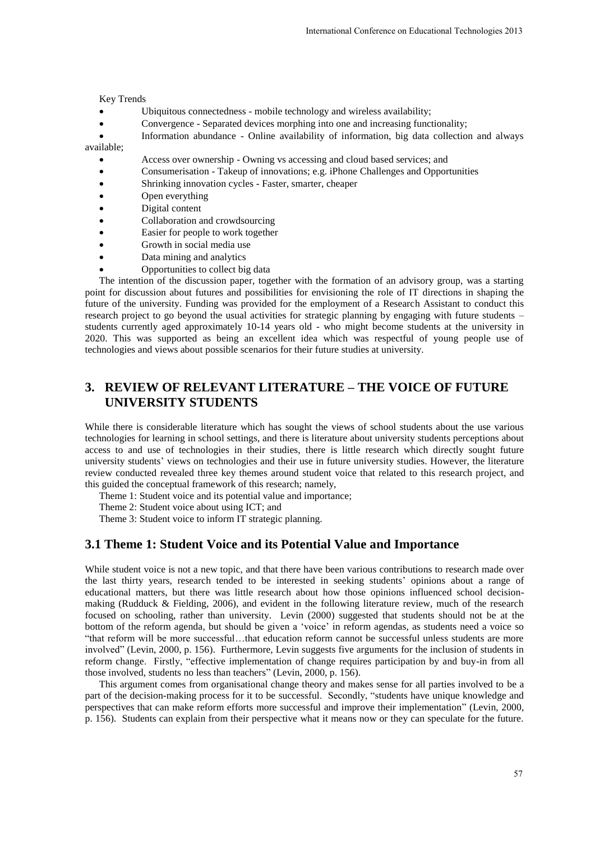Key Trends

- Ubiquitous connectedness mobile technology and wireless availability;
- Convergence Separated devices morphing into one and increasing functionality;
- Information abundance Online availability of information, big data collection and always available;
	- Access over ownership Owning vs accessing and cloud based services; and
	- Consumerisation Takeup of innovations; e.g. iPhone Challenges and Opportunities
	- Shrinking innovation cycles Faster, smarter, cheaper
	- Open everything
	- Digital content
	- Collaboration and crowdsourcing
	- Easier for people to work together
	- Growth in social media use
	- Data mining and analytics
	- Opportunities to collect big data

The intention of the discussion paper, together with the formation of an advisory group, was a starting point for discussion about futures and possibilities for envisioning the role of IT directions in shaping the future of the university. Funding was provided for the employment of a Research Assistant to conduct this research project to go beyond the usual activities for strategic planning by engaging with future students – students currently aged approximately 10-14 years old - who might become students at the university in 2020. This was supported as being an excellent idea which was respectful of young people use of technologies and views about possible scenarios for their future studies at university.

# **3. REVIEW OF RELEVANT LITERATURE – THE VOICE OF FUTURE UNIVERSITY STUDENTS**

While there is considerable literature which has sought the views of school students about the use various technologies for learning in school settings, and there is literature about university students perceptions about access to and use of technologies in their studies, there is little research which directly sought future university students' views on technologies and their use in future university studies. However, the literature review conducted revealed three key themes around student voice that related to this research project, and this guided the conceptual framework of this research; namely,

Theme 1: Student voice and its potential value and importance;

Theme 2: Student voice about using ICT; and

Theme 3: Student voice to inform IT strategic planning.

#### **3.1 Theme 1: Student Voice and its Potential Value and Importance**

While student voice is not a new topic, and that there have been various contributions to research made over the last thirty years, research tended to be interested in seeking students' opinions about a range of educational matters, but there was little research about how those opinions influenced school decisionmaking [\(Rudduck & Fielding, 2006\)](#page-10-2), and evident in the following literature review, much of the research focused on schooling, rather than university. [Levin \(2000\)](#page-9-0) suggested that students should not be at the bottom of the reform agenda, but should be given a 'voice' in reform agendas, as students need a voice so "that reform will be more successful…that education reform cannot be successful unless students are more involved" [\(Levin, 2000, p. 156\)](#page-9-0). Furthermore, Levin suggests five arguments for the inclusion of students in reform change. Firstly, "effective implementation of change requires participation by and buy-in from all those involved, students no less than teachers" [\(Levin, 2000, p. 156\)](#page-9-0). International Conference on Educational Technologies 2013<br>
ology and wireless availability;<br>
mg into one and increasing functionality;<br>
suity of information, big data collection and always<br>
suity of information, big data c

This argument comes from organisational change theory and makes sense for all parties involved to be a part of the decision-making process for it to be successful. Secondly, "students have unique knowledge and perspectives that can make reform efforts more successful and improve their implementation" (Levin, 2000, [p. 156\)](#page-9-0). Students can explain from their perspective what it means now or they can speculate for the future.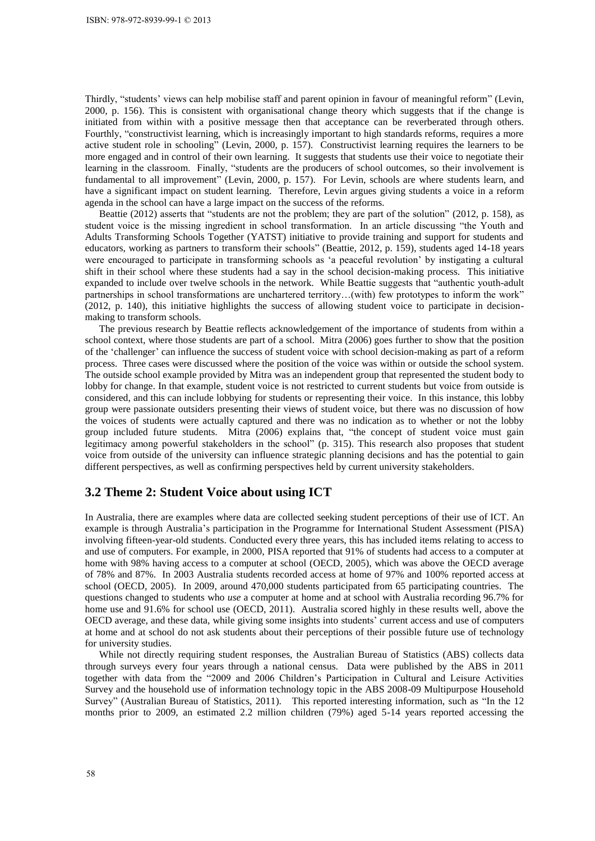Thirdly, "students' views can help mobilise staff and parent opinion in favour of meaningful reform" [\(Levin,](#page-9-0)  2000, p. 156). This is consistent with organisational change theory which suggests that if the change is initiated from within with a positive message then that acceptance can be reverberated through others. Fourthly, "constructivist learning, which is increasingly important to high standards reforms, requires a more active student role in schooling" [\(Levin, 2000, p. 157\)](#page-9-0). Constructivist learning requires the learners to be more engaged and in control of their own learning. It suggests that students use their voice to negotiate their learning in the classroom. Finally, "students are the producers of school outcomes, so their involvement is fundamental to all improvement" [\(Levin, 2000, p. 157\)](#page-9-0). For Levin, schools are where students learn, and have a significant impact on student learning. Therefore, Levin argues giving students a voice in a reform agenda in the school can have a large impact on the success of the reforms.

Beattie (2012) asserts that "students are not the problem; they are part of the solution" [\(2012, p. 158\)](#page-9-1), as student voice is the missing ingredient in school transformation. In an article discussing "the Youth and Adults Transforming Schools Together (YATST) initiative to provide training and support for students and educators, working as partners to transform their schools" [\(Beattie, 2012, p. 159\)](#page-9-1), students aged 14-18 years were encouraged to participate in transforming schools as 'a peaceful revolution' by instigating a cultural shift in their school where these students had a say in the school decision-making process. This initiative expanded to include over twelve schools in the network. While Beattie suggests that "authentic youth-adult partnerships in school transformations are unchartered territory…(with) few prototypes to inform the work" (2012, p. 140), this initiative highlights the success of allowing student voice to participate in decisionmaking to transform schools.

The previous research by Beattie reflects acknowledgement of the importance of students from within a school context, where those students are part of a school. [Mitra \(2006\)](#page-9-2) goes further to show that the position of the 'challenger' can influence the success of student voice with school decision-making as part of a reform process. Three cases were discussed where the position of the voice was within or outside the school system. The outside school example provided by Mitra was an independent group that represented the student body to lobby for change. In that example, student voice is not restricted to current students but voice from outside is considered, and this can include lobbying for students or representing their voice. In this instance, this lobby group were passionate outsiders presenting their views of student voice, but there was no discussion of how the voices of students were actually captured and there was no indication as to whether or not the lobby group included future students. [Mitra \(2006\)](#page-9-2) explains that, "the concept of student voice must gain legitimacy among powerful stakeholders in the school" [\(p. 315\)](#page-9-2). This research also proposes that student voice from outside of the university can influence strategic planning decisions and has the potential to gain different perspectives, as well as confirming perspectives held by current university stakeholders. ISBN: 978-972-8939-99-1 © 2013<br>
ISBN: 978-972-8939-99-1 © 2013<br>
2000, p. 156). This is consiste<br>
minitated from within with a p<br>
from thin with a p<br>
from thin with a p<br>
from the classroom. Final<br>
Fourthly, "constructivist

#### **3.2 Theme 2: Student Voice about using ICT**

In Australia, there are examples where data are collected seeking student perceptions of their use of ICT. An example is through Australia's participation in the Programme for International Student Assessment (PISA) involving fifteen-year-old students. Conducted every three years, this has included items relating to access to and use of computers. For example, in 2000, PISA reported that 91% of students had access to a computer at home with 98% having access to a computer at school [\(OECD, 2005\)](#page-10-3), which was above the OECD average of 78% and 87%. In 2003 Australia students recorded access at home of 97% and 100% reported access at school (OECD, 2005). In 2009, around 470,000 students participated from 65 participating countries. The questions changed to students who *use* a computer at home and at school with Australia recording 96.7% for home use and  $91.6\%$  for school use [\(OECD, 2011\)](#page-10-4). Australia scored highly in these results well, above the OECD average, and these data, while giving some insights into students' current access and use of computers at home and at school do not ask students about their perceptions of their possible future use of technology for university studies.

While not directly requiring student responses, the Australian Bureau of Statistics (ABS) collects data through surveys every four years through a national census. Data were published by the ABS in 2011 together with data from the "2009 and 2006 Children's Participation in Cultural and Leisure Activities Survey and the household use of information technology topic in the ABS 2008-09 Multipurpose Household Survey" [\(Australian Bureau of Statistics, 2011\)](#page-9-3). This reported interesting information, such as "In the 12 months prior to 2009, an estimated 2.2 million children (79%) aged 5-14 years reported accessing the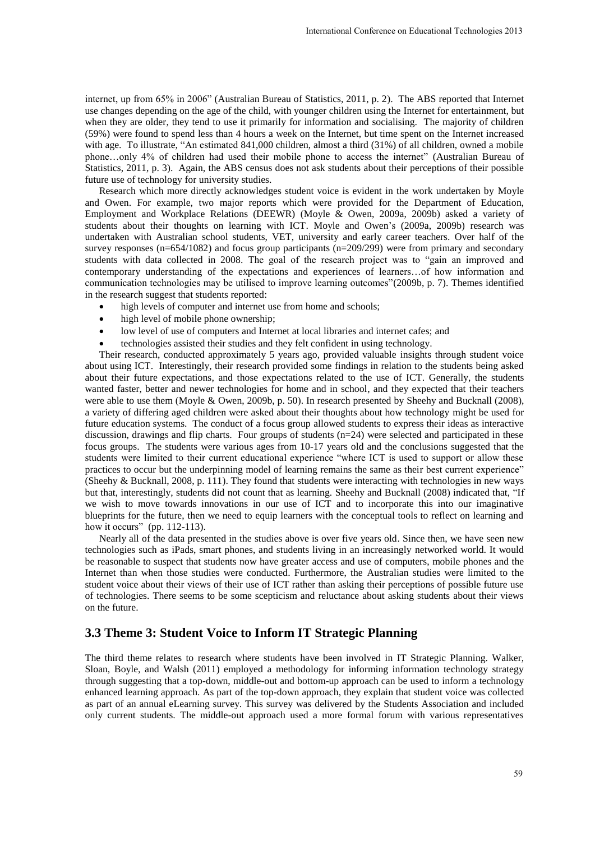internet, up from 65% in 2006" [\(Australian Bureau of Statistics, 2011, p. 2\)](#page-9-3). The ABS reported that Internet use changes depending on the age of the child, with younger children using the Internet for entertainment, but when they are older, they tend to use it primarily for information and socialising. The majority of children (59%) were found to spend less than 4 hours a week on the Internet, but time spent on the Internet increased with age. To illustrate, "An estimated 841,000 children, almost a third (31%) of all children, owned a mobile phone…only 4% of children had used their mobile phone to access the internet" (Australian Bureau of [Statistics, 2011, p. 3\)](#page-9-3). Again, the ABS census does not ask students about their perceptions of their possible future use of technology for university studies.

Research which more directly acknowledges student voice is evident in the work undertaken by Moyle and Owen. For example, two major reports which were provided for the Department of Education, Employment and Workplace Relations (DEEWR) (Moyle & Owen, 2009a, 2009b) asked a variety of students about their thoughts on learning with ICT. Moyle and Owen's (2009a, 2009b) research was undertaken with Australian school students, VET, university and early career teachers. Over half of the survey responses (n=654/1082) and focus group participants (n=209/299) were from primary and secondary students with data collected in 2008. The goal of the research project was to "gain an improved and contemporary understanding of the expectations and experiences of learners…of how information and communication technologies may be utilised to improve learning outcomes"(2009b, p. 7). Themes identified in the research suggest that students reported:

- high levels of computer and internet use from home and schools;
- high level of mobile phone ownership;
- low level of use of computers and Internet at local libraries and internet cafes; and
- technologies assisted their studies and they felt confident in using technology.

Their research, conducted approximately 5 years ago, provided valuable insights through student voice about using ICT. Interestingly, their research provided some findings in relation to the students being asked about their future expectations, and those expectations related to the use of ICT. Generally, the students wanted faster, better and newer technologies for home and in school, and they expected that their teachers were able to use them [\(Moyle & Owen, 2009b, p. 50\)](#page-10-5). In research presented by Sheehy and Bucknall (2008), a variety of differing aged children were asked about their thoughts about how technology might be used for future education systems. The conduct of a focus group allowed students to express their ideas as interactive discussion, drawings and flip charts. Four groups of students (n=24) were selected and participated in these focus groups. The students were various ages from 10-17 years old and the conclusions suggested that the students were limited to their current educational experience "where ICT is used to support or allow these practices to occur but the underpinning model of learning remains the same as their best current experience" [\(Sheehy & Bucknall, 2008, p. 111\)](#page-10-6). They found that students were interacting with technologies in new ways but that, interestingly, students did not count that as learning. Sheehy and Bucknall (2008) indicated that, "If we wish to move towards innovations in our use of ICT and to incorporate this into our imaginative blueprints for the future, then we need to equip learners with the conceptual tools to reflect on learning and how it occurs" [\(pp. 112-113\)](#page-10-6). International Conference on Educational Technologies 2013<br>
Statistics, 2011, p. 2). The ABS reported that Internet<br>
magner children using the Internet, but time symt on the Internet increases<br>
the magnet on the internet in

Nearly all of the data presented in the studies above is over five years old. Since then, we have seen new technologies such as iPads, smart phones, and students living in an increasingly networked world. It would be reasonable to suspect that students now have greater access and use of computers, mobile phones and the Internet than when those studies were conducted. Furthermore, the Australian studies were limited to the student voice about their views of their use of ICT rather than asking their perceptions of possible future use of technologies. There seems to be some scepticism and reluctance about asking students about their views on the future.

#### **3.3 Theme 3: Student Voice to Inform IT Strategic Planning**

The third theme relates to research where students have been involved in IT Strategic Planning. [Walker,](#page-10-7)  [Sloan, Boyle, and Walsh \(2011\)](#page-10-7) employed a methodology for informing information technology strategy through suggesting that a top-down, middle-out and bottom-up approach can be used to inform a technology enhanced learning approach. As part of the top-down approach, they explain that student voice was collected as part of an annual eLearning survey. This survey was delivered by the Students Association and included only current students. The middle-out approach used a more formal forum with various representatives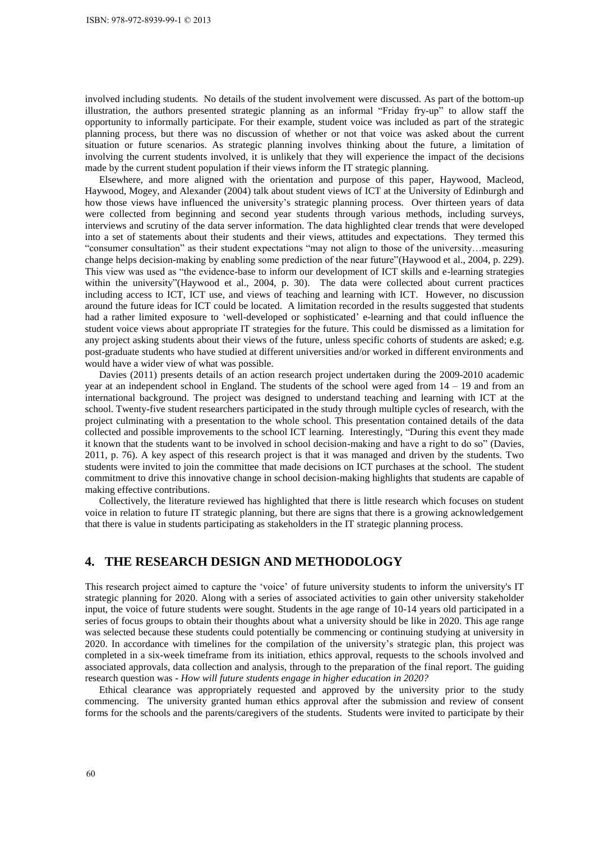involved including students. No details of the student involvement were discussed. As part of the bottom-up illustration, the authors presented strategic planning as an informal "Friday fry-up" to allow staff the opportunity to informally participate. For their example, student voice was included as part of the strategic planning process, but there was no discussion of whether or not that voice was asked about the current situation or future scenarios. As strategic planning involves thinking about the future, a limitation of involving the current students involved, it is unlikely that they will experience the impact of the decisions made by the current student population if their views inform the IT strategic planning.

Elsewhere, and more aligned with the orientation and purpose of this paper, [Haywood, Macleod,](#page-9-5)  [Haywood, Mogey, and Alexander \(2004\)](#page-9-5) talk about student views of ICT at the University of Edinburgh and how those views have influenced the university's strategic planning process. Over thirteen years of data were collected from beginning and second year students through various methods, including surveys, interviews and scrutiny of the data server information. The data highlighted clear trends that were developed into a set of statements about their students and their views, attitudes and expectations. They termed this "consumer consultation" as their student expectations "may not align to those of the university…measuring change helps decision-making by enabling some prediction of the near future"[\(Haywood et al., 2004, p. 229\)](#page-9-5). This view was used as "the evidence-base to inform our development of ICT skills and e-learning strategies within the university"[\(Haywood et al., 2004, p. 30\)](#page-9-5). The data were collected about current practices including access to ICT, ICT use, and views of teaching and learning with ICT. However, no discussion around the future ideas for ICT could be located. A limitation recorded in the results suggested that students had a rather limited exposure to 'well-developed or sophisticated' e-learning and that could influence the student voice views about appropriate IT strategies for the future. This could be dismissed as a limitation for any project asking students about their views of the future, unless specific cohorts of students are asked; e.g. post-graduate students who have studied at different universities and/or worked in different environments and would have a wider view of what was possible. ISBN: 978-972-8939-99-1 © 2013<br>
ISBN: 978-972-8939-99-1 © 2013<br>
Illustration, the authors present<br>
Illustration, the authors present<br>
Illustration, the authors present<br>
polaroning process, but there was<br>
involving the curr

Davies (2011) presents details of an action research project undertaken during the 2009-2010 academic year at an independent school in England. The students of the school were aged from 14 – 19 and from an international background. The project was designed to understand teaching and learning with ICT at the school. Twenty-five student researchers participated in the study through multiple cycles of research, with the project culminating with a presentation to the whole school. This presentation contained details of the data collected and possible improvements to the school ICT learning. Interestingly, "During this event they made it known that the students want to be involved in school decision-making and have a right to do so" [\(Davies,](#page-9-6)  2011, p. 76). A key aspect of this research project is that it was managed and driven by the students. Two students were invited to join the committee that made decisions on ICT purchases at the school. The student commitment to drive this innovative change in school decision-making highlights that students are capable of making effective contributions.

Collectively, the literature reviewed has highlighted that there is little research which focuses on student voice in relation to future IT strategic planning, but there are signs that there is a growing acknowledgement that there is value in students participating as stakeholders in the IT strategic planning process.

# **4. THE RESEARCH DESIGN AND METHODOLOGY**

This research project aimed to capture the 'voice' of future university students to inform the university's IT strategic planning for 2020. Along with a series of associated activities to gain other university stakeholder input, the voice of future students were sought. Students in the age range of 10-14 years old participated in a series of focus groups to obtain their thoughts about what a university should be like in 2020. This age range was selected because these students could potentially be commencing or continuing studying at university in 2020. In accordance with timelines for the compilation of the university's strategic plan, this project was completed in a six-week timeframe from its initiation, ethics approval, requests to the schools involved and associated approvals, data collection and analysis, through to the preparation of the final report. The guiding research question was - *How will future students engage in higher education in 2020?*

Ethical clearance was appropriately requested and approved by the university prior to the study commencing. The university granted human ethics approval after the submission and review of consent forms for the schools and the parents/caregivers of the students. Students were invited to participate by their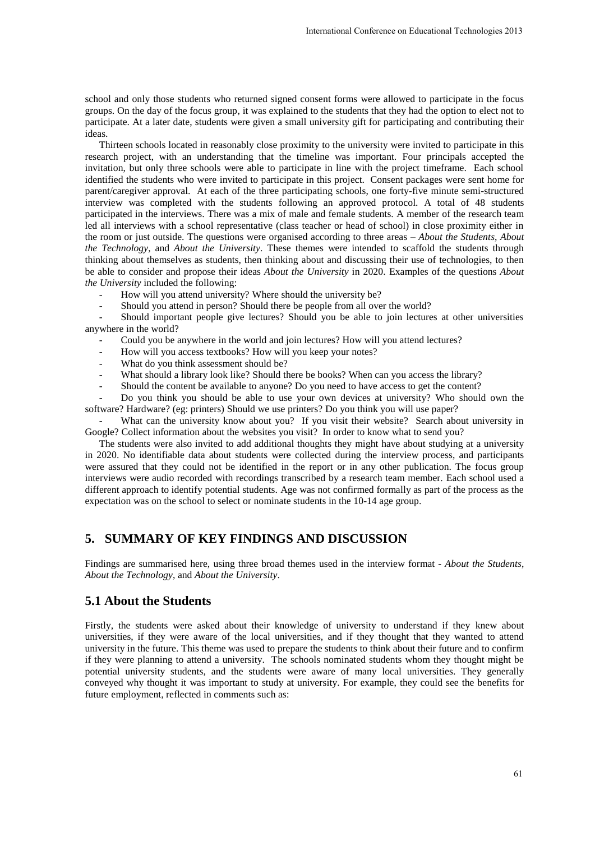school and only those students who returned signed consent forms were allowed to participate in the focus groups. On the day of the focus group, it was explained to the students that they had the option to elect not to participate. At a later date, students were given a small university gift for participating and contributing their ideas.

Thirteen schools located in reasonably close proximity to the university were invited to participate in this research project, with an understanding that the timeline was important. Four principals accepted the invitation, but only three schools were able to participate in line with the project timeframe. Each school identified the students who were invited to participate in this project. Consent packages were sent home for parent/caregiver approval. At each of the three participating schools, one forty-five minute semi-structured interview was completed with the students following an approved protocol. A total of 48 students participated in the interviews. There was a mix of male and female students. A member of the research team led all interviews with a school representative (class teacher or head of school) in close proximity either in the room or just outside. The questions were organised according to three areas – *About the Students*, *About the Technology*, and *About the University*. These themes were intended to scaffold the students through thinking about themselves as students, then thinking about and discussing their use of technologies, to then be able to consider and propose their ideas *About the University* in 2020. Examples of the questions *About the University* included the following: International Conference on Educational Technologies 2013<br>
Onesent forms were allowed to participate in the focus<br>
10. It of the students that they had the orbiton to elect not to turiversity gift for participating and co

- How will you attend university? Where should the university be?
- Should you attend in person? Should there be people from all over the world?

- Should important people give lectures? Should you be able to join lectures at other universities anywhere in the world?

- Could you be anywhere in the world and join lectures? How will you attend lectures?
- How will you access textbooks? How will you keep your notes?
- What do you think assessment should be?
- What should a library look like? Should there be books? When can you access the library?
- Should the content be available to anyone? Do you need to have access to get the content?

- Do you think you should be able to use your own devices at university? Who should own the software? Hardware? (eg: printers) Should we use printers? Do you think you will use paper?

What can the university know about you? If you visit their website? Search about university in Google? Collect information about the websites you visit? In order to know what to send you?

The students were also invited to add additional thoughts they might have about studying at a university in 2020. No identifiable data about students were collected during the interview process, and participants were assured that they could not be identified in the report or in any other publication. The focus group interviews were audio recorded with recordings transcribed by a research team member. Each school used a different approach to identify potential students. Age was not confirmed formally as part of the process as the expectation was on the school to select or nominate students in the 10-14 age group.

#### **5. SUMMARY OF KEY FINDINGS AND DISCUSSION**

Findings are summarised here, using three broad themes used in the interview format - *About the Students*, *About the Technology*, and *About the University*.

### **5.1 About the Students**

Firstly, the students were asked about their knowledge of university to understand if they knew about universities, if they were aware of the local universities, and if they thought that they wanted to attend university in the future. This theme was used to prepare the students to think about their future and to confirm if they were planning to attend a university. The schools nominated students whom they thought might be potential university students, and the students were aware of many local universities. They generally conveyed why thought it was important to study at university. For example, they could see the benefits for future employment, reflected in comments such as: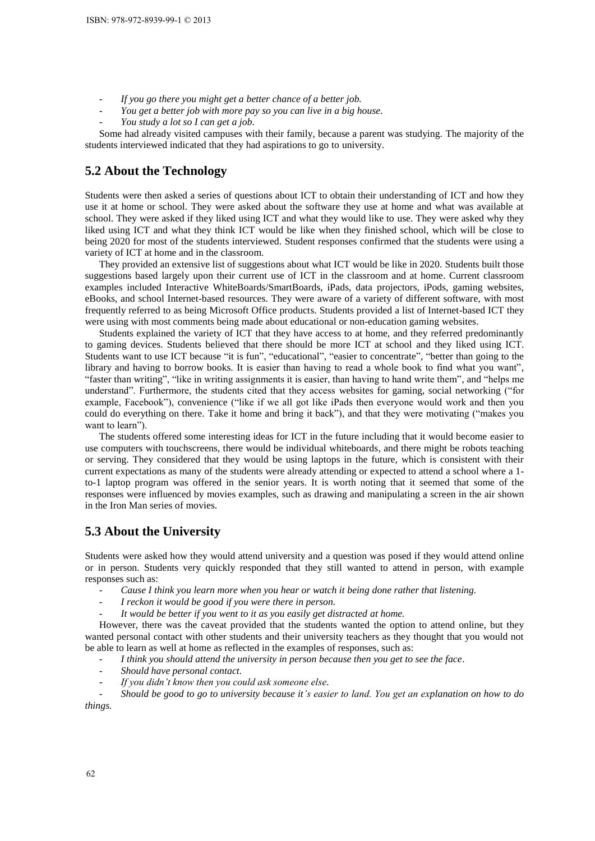- *If you go there you might get a better chance of a better job.*
- *You get a better job with more pay so you can live in a big house.*
- *You study a lot so I can get a job.*

Some had already visited campuses with their family, because a parent was studying. The majority of the students interviewed indicated that they had aspirations to go to university.

### **5.2 About the Technology**

Students were then asked a series of questions about ICT to obtain their understanding of ICT and how they use it at home or school. They were asked about the software they use at home and what was available at school. They were asked if they liked using ICT and what they would like to use. They were asked why they liked using ICT and what they think ICT would be like when they finished school, which will be close to being 2020 for most of the students interviewed. Student responses confirmed that the students were using a variety of ICT at home and in the classroom.

They provided an extensive list of suggestions about what ICT would be like in 2020. Students built those suggestions based largely upon their current use of ICT in the classroom and at home. Current classroom examples included Interactive WhiteBoards/SmartBoards, iPads, data projectors, iPods, gaming websites, eBooks, and school Internet-based resources. They were aware of a variety of different software, with most frequently referred to as being Microsoft Office products. Students provided a list of Internet-based ICT they were using with most comments being made about educational or non-education gaming websites.

Students explained the variety of ICT that they have access to at home, and they referred predominantly to gaming devices. Students believed that there should be more ICT at school and they liked using ICT. Students want to use ICT because "it is fun", "educational", "easier to concentrate", "better than going to the library and having to borrow books. It is easier than having to read a whole book to find what you want", "faster than writing", "like in writing assignments it is easier, than having to hand write them", and "helps me understand". Furthermore, the students cited that they access websites for gaming, social networking ("for example, Facebook"), convenience ("like if we all got like iPads then everyone would work and then you could do everything on there. Take it home and bring it back"), and that they were motivating ("makes you want to learn"). ISBN: 978-972-8939-99-1 © 2013<br>
ISBN: 978-972-8939-99-1 © 2013<br>
ISBN: 760 *stad a better job win*<br>
Ion *stady a lot so 1 can*<br>
Some had already visited ca<br>
Some had already is sided ca<br>
suse it at home or school. They wer

The students offered some interesting ideas for ICT in the future including that it would become easier to use computers with touchscreens, there would be individual whiteboards, and there might be robots teaching or serving. They considered that they would be using laptops in the future, which is consistent with their current expectations as many of the students were already attending or expected to attend a school where a 1 to-1 laptop program was offered in the senior years. It is worth noting that it seemed that some of the responses were influenced by movies examples, such as drawing and manipulating a screen in the air shown in the Iron Man series of movies.

# **5.3 About the University**

Students were asked how they would attend university and a question was posed if they would attend online or in person. Students very quickly responded that they still wanted to attend in person, with example responses such as:

- Cause I think you learn more when you hear or watch it being done rather that listening.
- *I reckon it would be good if you were there in person.*
- It would be better if you went to it as you easily get distracted at home.

However, there was the caveat provided that the students wanted the option to attend online, but they wanted personal contact with other students and their university teachers as they thought that you would not be able to learn as well at home as reflected in the examples of responses, such as:

- I think you should attend the university in person because then you get to see the face.
- *Should have personal contact.*
- *If you didn't know then you could ask someone else.*

- *Should be good to go to university because it's easier to land. You get an explanation on how to do things.*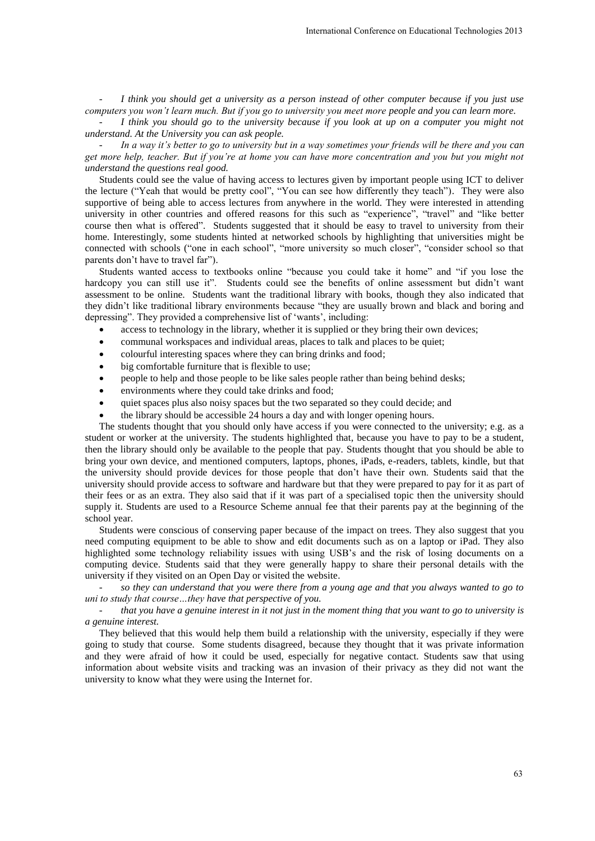- *I think you should get a university as a person instead of other computer because if you just use computers you won't learn much. But if you go to university you meet more people and you can learn more.*

- *I think you should go to the university because if you look at up on a computer you might not understand. At the University you can ask people.* 

- *In a way it's better to go to university but in a way sometimes your friends will be there and you can get more help, teacher. But if you're at home you can have more concentration and you but you might not understand the questions real good.* 

Students could see the value of having access to lectures given by important people using ICT to deliver the lecture ("Yeah that would be pretty cool", "You can see how differently they teach"). They were also supportive of being able to access lectures from anywhere in the world. They were interested in attending university in other countries and offered reasons for this such as "experience", "travel" and "like better course then what is offered". Students suggested that it should be easy to travel to university from their home. Interestingly, some students hinted at networked schools by highlighting that universities might be connected with schools ("one in each school", "more university so much closer", "consider school so that parents don't have to travel far").

Students wanted access to textbooks online "because you could take it home" and "if you lose the hardcopy you can still use it". Students could see the benefits of online assessment but didn't want assessment to be online. Students want the traditional library with books, though they also indicated that they didn't like traditional library environments because "they are usually brown and black and boring and depressing". They provided a comprehensive list of 'wants', including:

- access to technology in the library, whether it is supplied or they bring their own devices;
- communal workspaces and individual areas, places to talk and places to be quiet;
- colourful interesting spaces where they can bring drinks and food;
- big comfortable furniture that is flexible to use;
- people to help and those people to be like sales people rather than being behind desks;
- environments where they could take drinks and food;
- quiet spaces plus also noisy spaces but the two separated so they could decide; and
- the library should be accessible 24 hours a day and with longer opening hours.

The students thought that you should only have access if you were connected to the university; e.g. as a student or worker at the university. The students highlighted that, because you have to pay to be a student, then the library should only be available to the people that pay. Students thought that you should be able to bring your own device, and mentioned computers, laptops, phones, iPads, e-readers, tablets, kindle, but that the university should provide devices for those people that don't have their own. Students said that the university should provide access to software and hardware but that they were prepared to pay for it as part of their fees or as an extra. They also said that if it was part of a specialised topic then the university should supply it. Students are used to a Resource Scheme annual fee that their parents pay at the beginning of the school year. International Conference on Educational Technologies 2013<br>
on instead of other computer because if you just use<br>
serify you meet more people and you can learn more,<br>
use if you look at up on a computer you might no<br>
way s

Students were conscious of conserving paper because of the impact on trees. They also suggest that you need computing equipment to be able to show and edit documents such as on a laptop or iPad. They also highlighted some technology reliability issues with using USB's and the risk of losing documents on a computing device. Students said that they were generally happy to share their personal details with the university if they visited on an Open Day or visited the website.

- *so they can understand that you were there from a young age and that you always wanted to go to uni to study that course…they have that perspective of you.* 

- *that you have a genuine interest in it not just in the moment thing that you want to go to university is a genuine interest.* 

They believed that this would help them build a relationship with the university, especially if they were going to study that course. Some students disagreed, because they thought that it was private information and they were afraid of how it could be used, especially for negative contact. Students saw that using information about website visits and tracking was an invasion of their privacy as they did not want the university to know what they were using the Internet for.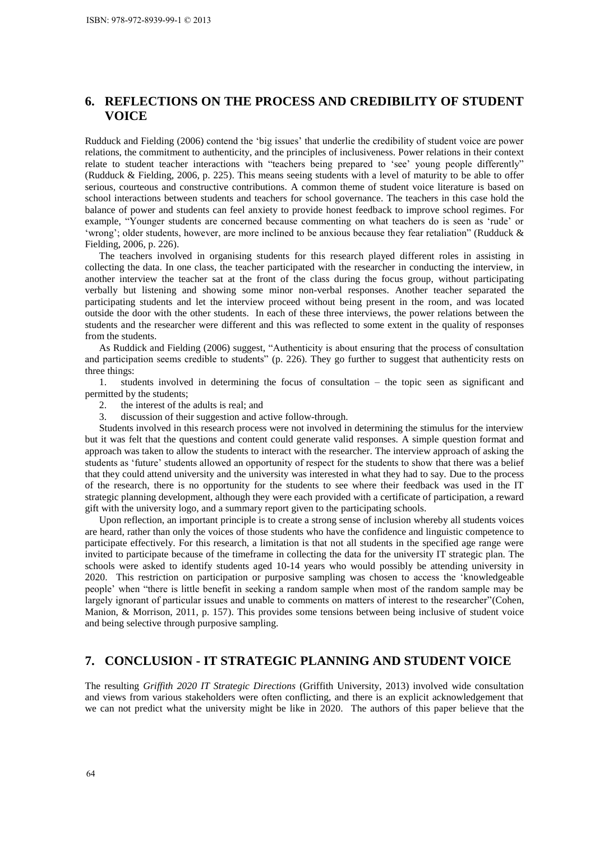# **6. REFLECTIONS ON THE PROCESS AND CREDIBILITY OF STUDENT VOICE**

Rudduck and Fielding (2006) contend the 'big issues' that underlie the credibility of student voice are power relations, the commitment to authenticity, and the principles of inclusiveness. Power relations in their context relate to student teacher interactions with "teachers being prepared to 'see' young people differently" [\(Rudduck & Fielding, 2006, p. 225\)](#page-10-2). This means seeing students with a level of maturity to be able to offer serious, courteous and constructive contributions. A common theme of student voice literature is based on school interactions between students and teachers for school governance. The teachers in this case hold the balance of power and students can feel anxiety to provide honest feedback to improve school regimes. For example, "Younger students are concerned because commenting on what teachers do is seen as 'rude' or 'wrong'; older students, however, are more inclined to be anxious because they fear retaliation" [\(Rudduck &](#page-10-2)  Fielding, 2006, p. 226). ISBN: 978-972-8939-99-1 © 2013<br> **VOICE**<br> **Colong COOLONS O**<br> **VOICE**<br> **Rudduck** and Fielding (2006) cordination to authometric to authometric to relate to student teacher interactions, the committent to author exchang

The teachers involved in organising students for this research played different roles in assisting in collecting the data. In one class, the teacher participated with the researcher in conducting the interview, in another interview the teacher sat at the front of the class during the focus group, without participating verbally but listening and showing some minor non-verbal responses. Another teacher separated the participating students and let the interview proceed without being present in the room, and was located outside the door with the other students. In each of these three interviews, the power relations between the students and the researcher were different and this was reflected to some extent in the quality of responses from the students.

As Ruddick and Fielding (2006) suggest, "Authenticity is about ensuring that the process of consultation and participation seems credible to students" [\(p. 226\)](#page-10-2). They go further to suggest that authenticity rests on three things:

1. students involved in determining the focus of consultation – the topic seen as significant and permitted by the students;

- 2. the interest of the adults is real; and
- 3. discussion of their suggestion and active follow-through.

Students involved in this research process were not involved in determining the stimulus for the interview but it was felt that the questions and content could generate valid responses. A simple question format and approach was taken to allow the students to interact with the researcher. The interview approach of asking the students as 'future' students allowed an opportunity of respect for the students to show that there was a belief that they could attend university and the university was interested in what they had to say. Due to the process of the research, there is no opportunity for the students to see where their feedback was used in the IT strategic planning development, although they were each provided with a certificate of participation, a reward gift with the university logo, and a summary report given to the participating schools.

Upon reflection, an important principle is to create a strong sense of inclusion whereby all students voices are heard, rather than only the voices of those students who have the confidence and linguistic competence to participate effectively. For this research, a limitation is that not all students in the specified age range were invited to participate because of the timeframe in collecting the data for the university IT strategic plan. The schools were asked to identify students aged 10-14 years who would possibly be attending university in 2020. This restriction on participation or purposive sampling was chosen to access the 'knowledgeable people' when "there is little benefit in seeking a random sample when most of the random sample may be largely ignorant of particular issues and unable to comments on matters of interest to the researcher"[\(Cohen,](#page-9-7)  [Manion, & Morrison, 2011, p. 157\)](#page-9-7). This provides some tensions between being inclusive of student voice and being selective through purposive sampling.

# **7. CONCLUSION - IT STRATEGIC PLANNING AND STUDENT VOICE**

The resulting *Griffith 2020 IT Strategic Directions* (Griffith University, 2013) involved wide consultation and views from various stakeholders were often conflicting, and there is an explicit acknowledgement that we can not predict what the university might be like in 2020. The authors of this paper believe that the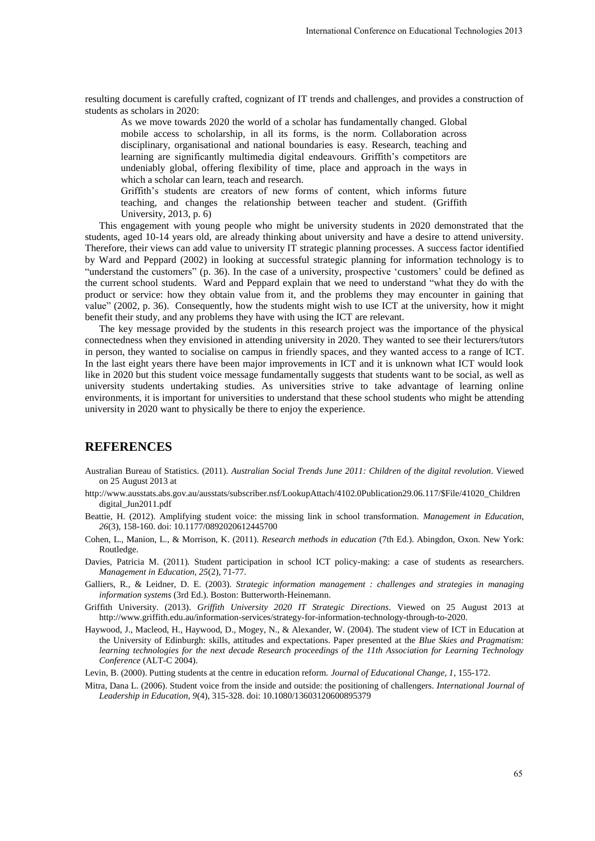resulting document is carefully crafted, cognizant of IT trends and challenges, and provides a construction of students as scholars in 2020:

As we move towards 2020 the world of a scholar has fundamentally changed. Global mobile access to scholarship, in all its forms, is the norm. Collaboration across disciplinary, organisational and national boundaries is easy. Research, teaching and learning are significantly multimedia digital endeavours. Griffith's competitors are undeniably global, offering flexibility of time, place and approach in the ways in which a scholar can learn, teach and research.

Griffith's students are creators of new forms of content, which informs future teaching, and changes the relationship between teacher and student. (Griffith University, 2013, p. 6)

This engagement with young people who might be university students in 2020 demonstrated that the students, aged 10-14 years old, are already thinking about university and have a desire to attend university. Therefore, their views can add value to university IT strategic planning processes. A success factor identified by [Ward and Peppard \(2002\)](#page-10-8) in looking at successful strategic planning for information technology is to "understand the customers" [\(p. 36\)](#page-10-8). In the case of a university, prospective 'customers' could be defined as the current school students. Ward and Peppard explain that we need to understand "what they do with the product or service: how they obtain value from it, and the problems they may encounter in gaining that value" [\(2002, p. 36\)](#page-10-8). Consequently, how the students might wish to use ICT at the university, how it might benefit their study, and any problems they have with using the ICT are relevant. International Conference on Educational Technologies 2013<br>
1ends and challenges, and provides a construction of<br>
2. tends and challenges, and provides a construction of<br>
2. the norm. Collaboration across<br>
mass. is the nor

The key message provided by the students in this research project was the importance of the physical connectedness when they envisioned in attending university in 2020. They wanted to see their lecturers/tutors in person, they wanted to socialise on campus in friendly spaces, and they wanted access to a range of ICT. In the last eight years there have been major improvements in ICT and it is unknown what ICT would look like in 2020 but this student voice message fundamentally suggests that students want to be social, as well as university students undertaking studies. As universities strive to take advantage of learning online environments, it is important for universities to understand that these school students who might be attending university in 2020 want to physically be there to enjoy the experience.

#### **REFERENCES**

- <span id="page-9-3"></span>Australian Bureau of Statistics. (2011). *Australian Social Trends June 2011: Children of the digital revolution*. Viewed on 25 August 2013 at
- http://www.ausstats.abs.gov.au/ausstats/subscriber.nsf/LookupAttach/4102.0Publication29.06.117/\$File/41020\_Children digital\_Jun2011.pdf
- <span id="page-9-1"></span>Beattie, H. (2012). Amplifying student voice: the missing link in school transformation. *Management in Education, 26*(3), 158-160. doi: 10.1177/0892020612445700
- <span id="page-9-7"></span>Cohen, L., Manion, L., & Morrison, K. (2011). *Research methods in education* (7th Ed.). Abingdon, Oxon. New York: Routledge.
- <span id="page-9-6"></span>Davies, Patricia M. (2011). Student participation in school ICT policy-making: a case of students as researchers. *Management in Education, 25*(2), 71-77.
- Galliers, R., & Leidner, D. E. (2003). *Strategic information management : challenges and strategies in managing information systems* (3rd Ed.). Boston: Butterworth-Heinemann.
- Griffith University. (2013). *Griffith University 2020 IT Strategic Directions*. Viewed on 25 August 2013 at http://www.griffith.edu.au/information-services/strategy-for-information-technology-through-to-2020.
- <span id="page-9-5"></span>Haywood, J., Macleod, H., Haywood, D., Mogey, N., & Alexander, W. (2004). The student view of ICT in Education at the University of Edinburgh: skills, attitudes and expectations. Paper presented at the *Blue Skies and Pragmatism: learning technologies for the next decade Research proceedings of the 11th Association for Learning Technology Conference* (ALT-C 2004).

<span id="page-9-0"></span>Levin, B. (2000). Putting students at the centre in education reform. *Journal of Educational Change, 1*, 155-172.

<span id="page-9-4"></span><span id="page-9-2"></span>Mitra, Dana L. (2006). Student voice from the inside and outside: the positioning of challengers. *International Journal of Leadership in Education, 9*(4), 315-328. doi: 10.1080/13603120600895379